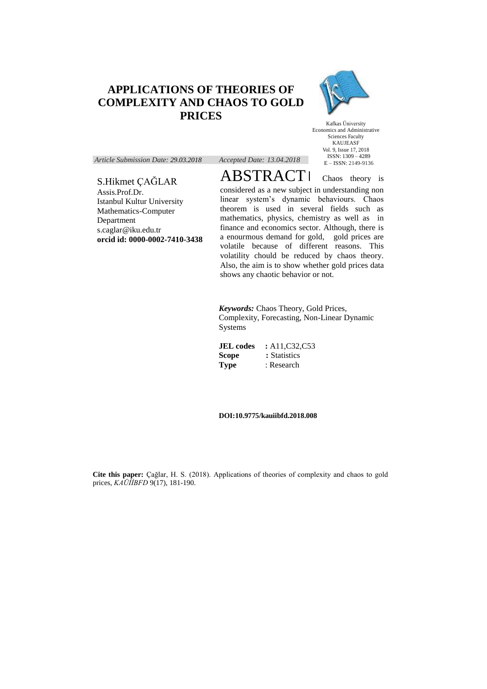# **APPLICATIONS OF THEORIES OF COMPLEXITY AND CHAOS TO GOLD PRICES**



Kafkas Üniversity Economics and Administrative Sciences Faculty KAUJEASF Vol. 9, Issue 17, 2018 ISSN: 1309 – 4289 E – ISSN: 2149-9136

*Article Submission Date: 29.03.2018 Accepted Date: 13.04.2018*

## S.Hikmet ÇAĞLAR

Assis.Prof.Dr. Istanbul Kultur University Mathematics-Computer Department s.caglar@iku.edu.tr **orcid id: 0000-0002-7410-3438** ABSTRACTI Chaos theory is considered as a new subject in understanding non linear system's dynamic behaviours. Chaos theorem is used in several fields such as mathematics, physics, chemistry as well as in finance and economics sector. Although, there is a enourmous demand for gold, gold prices are volatile because of different reasons. This volatility chould be reduced by chaos theory. Also, the aim is to show whether gold prices data shows any chaotic behavior or not.

*Keywords:* Chaos Theory, Gold Prices, Complexity, Forecasting, Non-Linear Dynamic Systems

**JEL codes** : A11,C32,C53 **Scope : Statistics Type** : Research

**DOI:10.9775/kauiibfd.2018.008**

**Cite this paper:** Çağlar, H. S. (2018). Applications of theories of complexity and chaos to gold prices, *KAÜİİBFD* 9(17), 181-190.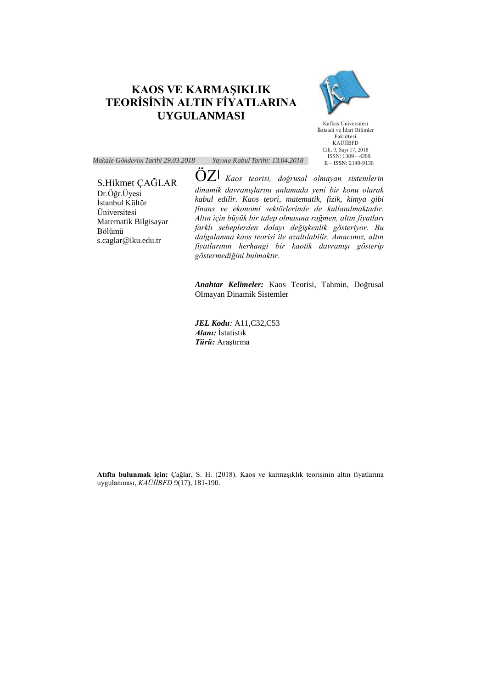## **KAOS VE KARMAŞIKLIK TEORİSİNİN ALTIN FİYATLARINA UYGULANMASI**



Kafkas Üniversitesi İktisadi ve İdari Bilimler Fakültesi KAÜİİBFD Cilt, 9, Sayı 17, 2018 ISSN: 1309 – 4289 E – ISSN: 2149-9136

*Makale Gönderim Tarihi 29.03.2018 Yayına Kabul Tarihi: 13.04.2018*

#### S.Hikmet ÇAĞLAR Dr.Öğr.Üyesi İstanbul Kültür Üniversitesi Matematik Bilgisayar Bölümü s.caglar@iku.edu.tr

ÖZ *Kaos teorisi, doğrusal olmayan sistemlerin dinamik davranışlarını anlamada yeni bir konu olarak kabul edilir. Kaos teori, matematik, fizik, kimya gibi finans ve ekonomi sektörlerinde de kullanılmaktadır. Altın için büyük bir talep olmasına rağmen, altın fiyatları farklı sebeplerden dolayı değişkenlik gösteriyor. Bu dalgalanma kaos teorisi ile azaltılabilir. Amacımız, altın fiyatlarının herhangi bir kaotik davranışı gösterip göstermediğini bulmaktır.*

*Anahtar Kelimeler:* Kaos Teorisi, Tahmin, Doğrusal Olmayan Dinamik Sistemler

*JEL Kodu:* A11,C32,C53 *Alanı:* İstatistik *Türü:* Araştırma

**Atıfta bulunmak için:** Çağlar, S. H. (2018). Kaos ve karmaşıklık teorisinin altın fiyatlarına uygulanması, *KAÜİİBFD* 9(17), 181-190.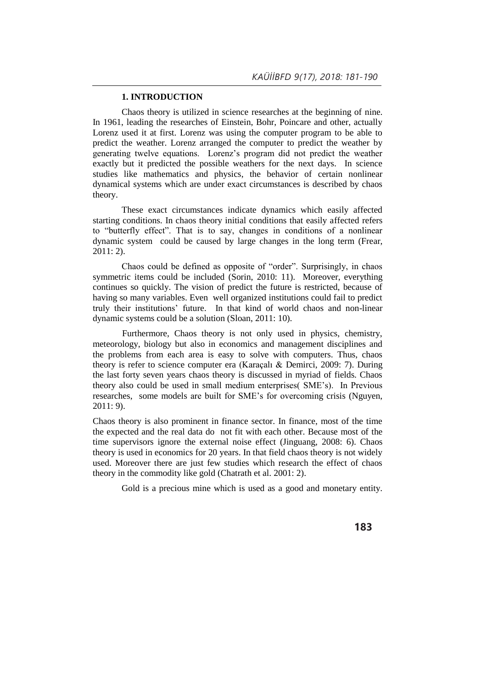## **1. INTRODUCTION**

Chaos theory is utilized in science researches at the beginning of nine. In 1961, leading the researches of Einstein, Bohr, Poincare and other, actually Lorenz used it at first. Lorenz was using the computer program to be able to predict the weather. Lorenz arranged the computer to predict the weather by generating twelve equations. Lorenz's program did not predict the weather exactly but it predicted the possible weathers for the next days. In science studies like mathematics and physics, the behavior of certain nonlinear dynamical systems which are under exact circumstances is described by chaos theory.

These exact circumstances indicate dynamics which easily affected starting conditions. In chaos theory initial conditions that easily affected refers to "butterfly effect". That is to say, changes in conditions of a nonlinear dynamic system could be caused by large changes in the long term (Frear, 2011: 2).

Chaos could be defined as opposite of "order". Surprisingly, in chaos symmetric items could be included (Sorin, 2010: 11). Moreover, everything continues so quickly. The vision of predict the future is restricted, because of having so many variables. Even well organized institutions could fail to predict truly their institutions' future. In that kind of world chaos and non-linear dynamic systems could be a solution (Sloan, 2011: 10).

Furthermore, Chaos theory is not only used in physics, chemistry, meteorology, biology but also in economics and management disciplines and the problems from each area is easy to solve with computers. Thus, chaos theory is refer to science computer era (Karaçalı & Demirci, 2009: 7). During the last forty seven years chaos theory is discussed in myriad of fields. Chaos theory also could be used in small medium enterprises( SME's). In Previous researches, some models are built for SME's for overcoming crisis (Nguyen, 2011: 9).

Chaos theory is also prominent in finance sector. In finance, most of the time the expected and the real data do not fit with each other. Because most of the time supervisors ignore the external noise effect (Jinguang, 2008: 6). Chaos theory is used in economics for 20 years. In that field chaos theory is not widely used. Moreover there are just few studies which research the effect of chaos theory in the commodity like gold (Chatrath et al. 2001: 2).

Gold is a precious mine which is used as a good and monetary entity.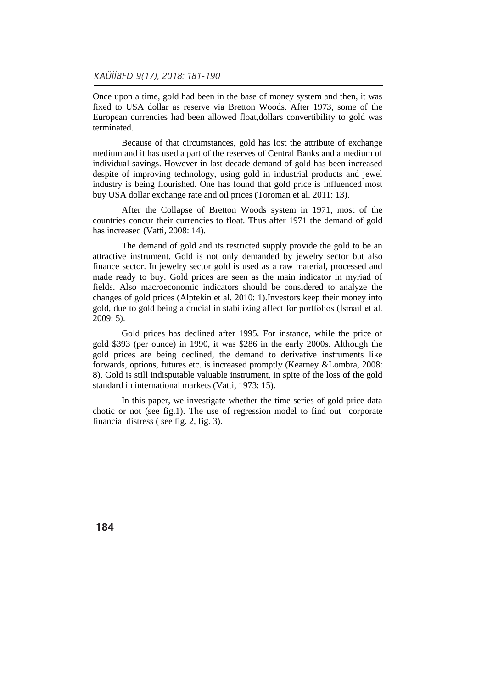Once upon a time, gold had been in the base of money system and then, it was fixed to USA dollar as reserve via Bretton Woods. After 1973, some of the European currencies had been allowed float,dollars convertibility to gold was terminated.

Because of that circumstances, gold has lost the attribute of exchange medium and it has used a part of the reserves of Central Banks and a medium of individual savings. However in last decade demand of gold has been increased despite of improving technology, using gold in industrial products and jewel industry is being flourished. One has found that gold price is influenced most buy USA dollar exchange rate and oil prices (Toroman et al. 2011: 13).

After the Collapse of Bretton Woods system in 1971, most of the countries concur their currencies to float. Thus after 1971 the demand of gold has increased (Vatti, 2008: 14).

The demand of gold and its restricted supply provide the gold to be an attractive instrument. Gold is not only demanded by jewelry sector but also finance sector. In jewelry sector gold is used as a raw material, processed and made ready to buy. Gold prices are seen as the main indicator in myriad of fields. Also macroeconomic indicators should be considered to analyze the changes of gold prices (Alptekin et al. 2010: 1).Investors keep their money into gold, due to gold being a crucial in stabilizing affect for portfolios (Ismail et al. 2009: 5).

Gold prices has declined after 1995. For instance, while the price of gold \$393 (per ounce) in 1990, it was \$286 in the early 2000s. Although the gold prices are being declined, the demand to derivative instruments like forwards, options, futures etc. is increased promptly (Kearney &Lombra, 2008: 8). Gold is still indisputable valuable instrument, in spite of the loss of the gold standard in international markets (Vatti, 1973: 15).

In this paper, we investigate whether the time series of gold price data chotic or not (see fig.1). The use of regression model to find out corporate financial distress ( see fig. 2, fig. 3).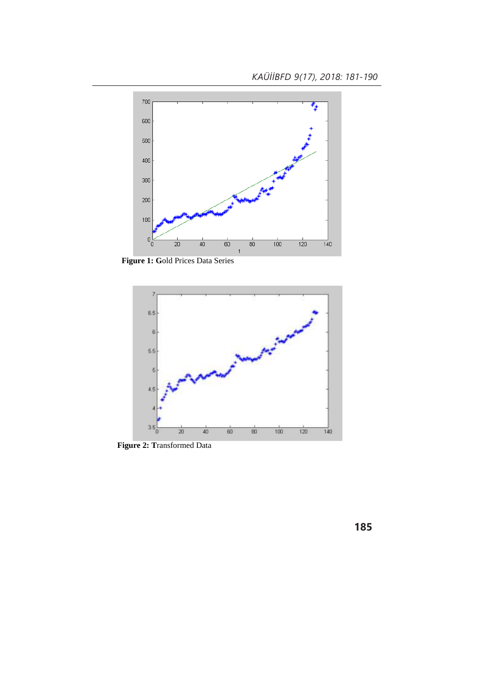

**Figure 1: G**old Prices Data Series



 **Figure 2: T**ransformed Data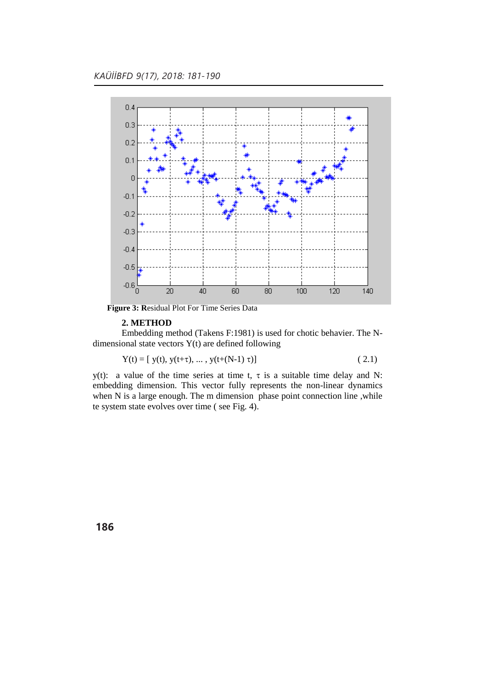

 **Figure 3: R**esidual Plot For Time Series Data

#### **2. METHOD**

Embedding method (Takens F:1981) is used for chotic behavier. The Ndimensional state vectors Y(t) are defined following

$$
Y(t) = [y(t), y(t+\tau), ..., y(t+(N-1) \tau)]
$$
\n(2.1)

y(t): a value of the time series at time t,  $\tau$  is a suitable time delay and N: embedding dimension. This vector fully represents the non-linear dynamics when N is a large enough. The m dimension phase point connection line ,while te system state evolves over time ( see Fig. 4).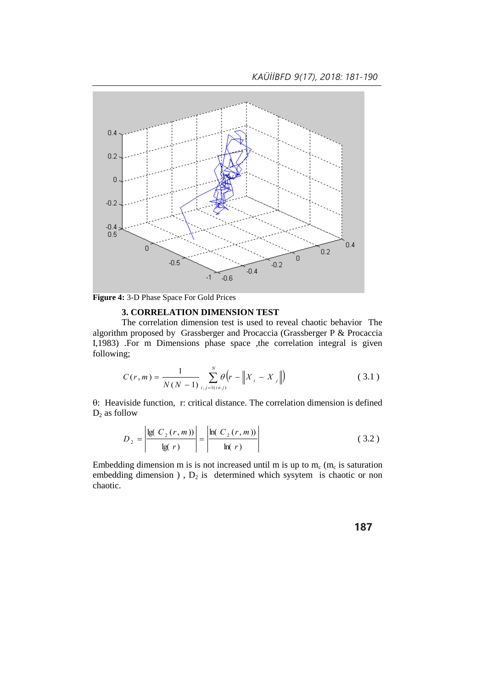*KAÜİİBFD 9(17), 2018: 181-190*



**Figure 4:** 3-D Phase Space For Gold Prices

### **3. CORRELATION DIMENSION TEST**

The correlation dimension test is used to reveal chaotic behavior The algorithm proposed by Grassberger and Procaccia (Grassberger P & Procaccia I,1983) .For m Dimensions phase space ,the correlation integral is given following;

$$
C(r, m) = \frac{1}{N(N-1)} \sum_{i,j=1(i \neq j)}^{N} \theta(r - \|X_{i} - X_{j}\|)
$$
 (3.1)

: Heaviside function, r: critical distance. The correlation dimension is defined  $D_2$  as follow

$$
D_2 = \left| \frac{\lg(C_2(r, m))}{\lg(r)} \right| = \left| \frac{\ln(C_2(r, m))}{\ln(r)} \right| \tag{3.2}
$$

Embedding dimension m is is not increased until m is up to  $m_c$  ( $m_c$  is saturation embedding dimension ),  $D_2$  is determined which sysytem is chaotic or non chaotic.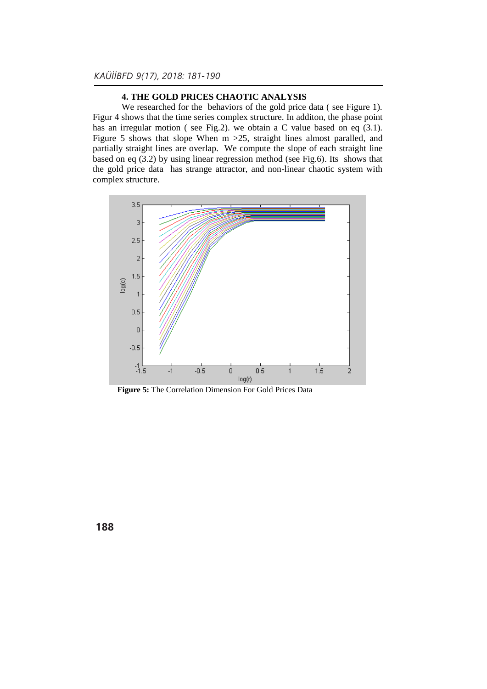## **4. THE GOLD PRICES CHAOTIC ANALYSIS**

We researched for the behaviors of the gold price data ( see Figure 1). Figur 4 shows that the time series complex structure. In additon, the phase point has an irregular motion ( see Fig.2). we obtain a C value based on eq (3.1). Figure 5 shows that slope When m >25, straight lines almost paralled, and partially straight lines are overlap. We compute the slope of each straight line based on eq (3.2) by using linear regression method (see Fig.6). Its shows that the gold price data has strange attractor, and non-linear chaotic system with complex structure.



 **Figure 5:** The Correlation Dimension For Gold Prices Data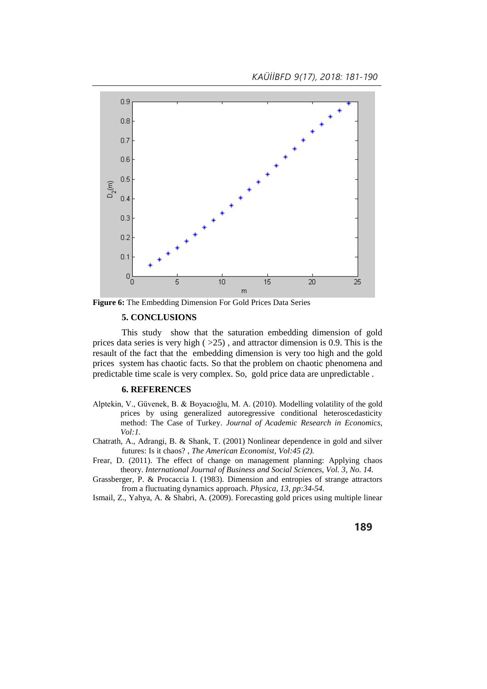*KAÜİİBFD 9(17), 2018: 181-190*



**Figure 6:** The Embedding Dimension For Gold Prices Data Series

## **5. CONCLUSIONS**

This study show that the saturation embedding dimension of gold prices data series is very high  $( >25)$ , and attractor dimension is 0.9. This is the resault of the fact that the embedding dimension is very too high and the gold prices system has chaotic facts. So that the problem on chaotic phenomena and predictable time scale is very complex. So, gold price data are unpredictable .

#### **6. REFERENCES**

- Alptekin, V., Güvenek, B. & Boyacıoğlu, M. A. (2010). Modelling volatility of the gold prices by using generalized autoregressive conditional heteroscedasticity method: The Case of Turkey. *Journal of Academic Research in Economics, Vol:1.*
- Chatrath, A., Adrangi, B. & Shank, T. (2001) Nonlinear dependence in gold and silver futures: Is it chaos? , *The American Economist, Vol:45 (2).*
- Frear, D. (2011). The effect of change on management planning: Applying chaos theory. *International Journal of Business and Social Sciences, Vol. 3, No. 14.*
- Grassberger, P. & Procaccia I. (1983). Dimension and entropies of strange attractors from a fluctuating dynamics approach. *Physica, 13, pp:34-54.*

Ismail, Z., Yahya, A. & Shabri, A. (2009). Forecasting gold prices using multiple linear